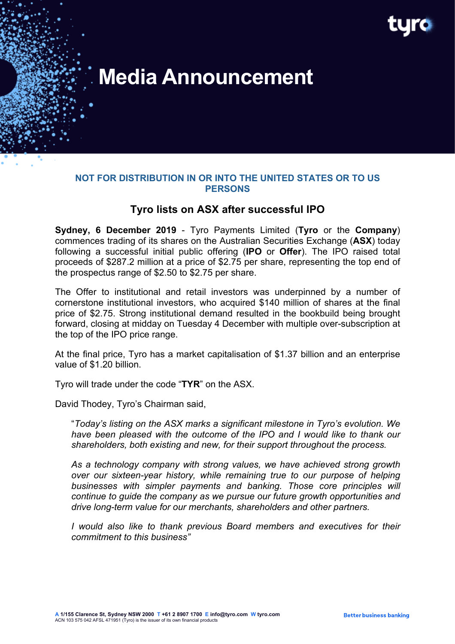

# **Media Announcement**

### **NOT FOR DISTRIBUTION IN OR INTO THE UNITED STATES OR TO US PERSONS**

# **Tyro lists on ASX after successful IPO**

**Sydney, 6 December 2019** - Tyro Payments Limited (**Tyro** or the **Company**) commences trading of its shares on the Australian Securities Exchange (**ASX**) today following a successful initial public offering (**IPO** or **Offer**). The IPO raised total proceeds of \$287.2 million at a price of \$2.75 per share, representing the top end of the prospectus range of \$2.50 to \$2.75 per share.

The Offer to institutional and retail investors was underpinned by a number of cornerstone institutional investors, who acquired \$140 million of shares at the final price of \$2.75. Strong institutional demand resulted in the bookbuild being brought forward, closing at midday on Tuesday 4 December with multiple over-subscription at the top of the IPO price range.

At the final price, Tyro has a market capitalisation of \$1.37 billion and an enterprise value of \$1.20 billion.

Tyro will trade under the code "**TYR**" on the ASX.

David Thodey, Tyro's Chairman said,

"*Today's listing on the ASX marks a significant milestone in Tyro's evolution. We have been pleased with the outcome of the IPO and I would like to thank our shareholders, both existing and new, for their support throughout the process.*

*As a technology company with strong values, we have achieved strong growth over our sixteen-year history, while remaining true to our purpose of helping businesses with simpler payments and banking. Those core principles will continue to guide the company as we pursue our future growth opportunities and drive long-term value for our merchants, shareholders and other partners.*

*I would also like to thank previous Board members and executives for their commitment to this business"*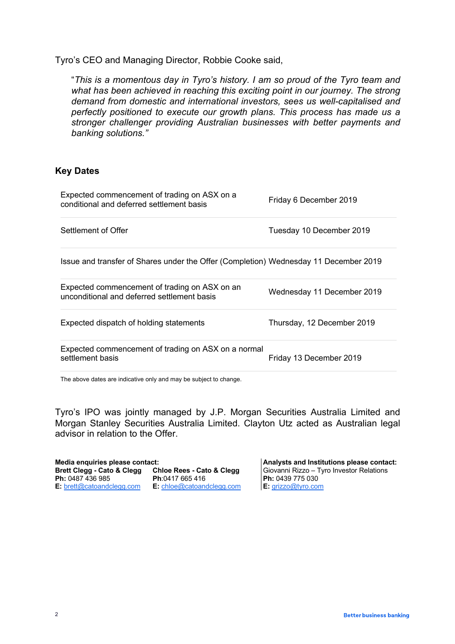Tyro's CEO and Managing Director, Robbie Cooke said,

"*This is a momentous day in Tyro's history. I am so proud of the Tyro team and what has been achieved in reaching this exciting point in our journey. The strong demand from domestic and international investors, sees us well-capitalised and perfectly positioned to execute our growth plans. This process has made us a stronger challenger providing Australian businesses with better payments and banking solutions."*

## **Key Dates**

| Expected commencement of trading on ASX on a<br>conditional and deferred settlement basis    | Friday 6 December 2019     |
|----------------------------------------------------------------------------------------------|----------------------------|
| Settlement of Offer                                                                          | Tuesday 10 December 2019   |
| Issue and transfer of Shares under the Offer (Completion) Wednesday 11 December 2019         |                            |
| Expected commencement of trading on ASX on an<br>unconditional and deferred settlement basis | Wednesday 11 December 2019 |
| Expected dispatch of holding statements                                                      | Thursday, 12 December 2019 |
| Expected commencement of trading on ASX on a normal<br>settlement basis                      | Friday 13 December 2019    |
|                                                                                              |                            |

The above dates are indicative only and may be subject to change.

Tyro's IPO was jointly managed by J.P. Morgan Securities Australia Limited and Morgan Stanley Securities Australia Limited. Clayton Utz acted as Australian legal advisor in relation to the Offer.

| Media enquiries please contact:       |                                      |  |
|---------------------------------------|--------------------------------------|--|
| <b>Brett Clegg - Cato &amp; Clegg</b> | <b>Chloe Rees - Cato &amp; Clegg</b> |  |
| Ph: 0487 436 985                      | Ph:0417 665 416                      |  |
| E: brett@catoandclegg.com             | E: chloe@catoandclegg.com            |  |

**Media enquiries please contact: Analysts and Institutions please contact: Brett Clegg - Cato & Clegg Chloe Rees - Cato & Clegg** Giovanni Rizzo – Tyro Investor Relations **Ph:** 0439 775 030 **E:** grizzo@tyro.com